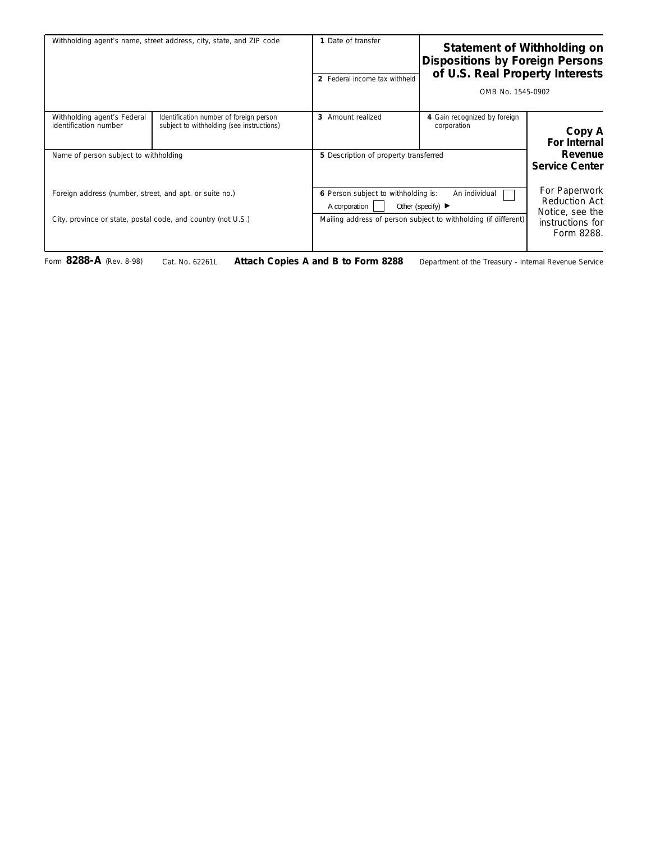| Withholding agent's name, street address, city, state, and ZIP code |                                                                                      | 1 Date of transfer<br>2 Federal income tax withheld                                                            | Statement of Withholding on<br><b>Dispositions by Foreign Persons</b><br>of U.S. Real Property Interests<br>OMB No. 1545-0902 |                                                   |
|---------------------------------------------------------------------|--------------------------------------------------------------------------------------|----------------------------------------------------------------------------------------------------------------|-------------------------------------------------------------------------------------------------------------------------------|---------------------------------------------------|
| Withholding agent's Federal<br>identification number                | Identification number of foreign person<br>subject to withholding (see instructions) | 3 Amount realized                                                                                              | 4 Gain recognized by foreign<br>corporation                                                                                   | Copy A<br>For Internal                            |
| Name of person subject to withholding                               |                                                                                      | 5 Description of property transferred                                                                          |                                                                                                                               | Revenue<br><b>Service Center</b>                  |
| Foreign address (number, street, and apt. or suite no.)             |                                                                                      | 6 Person subject to withholding is:<br>An individual<br>A corporation<br>Other (specify) $\blacktriangleright$ |                                                                                                                               | For Paperwork<br>Reduction Act<br>Notice, see the |
| City, province or state, postal code, and country (not U.S.)        |                                                                                      |                                                                                                                | Mailing address of person subject to withholding (if different)                                                               | instructions for<br>Form 8288.                    |

Form **8288-A** (Rev. 8-98) Cat. No. 62261L **Attach Copies A and B to Form 8288** Department of the Treasury - Internal Revenue Service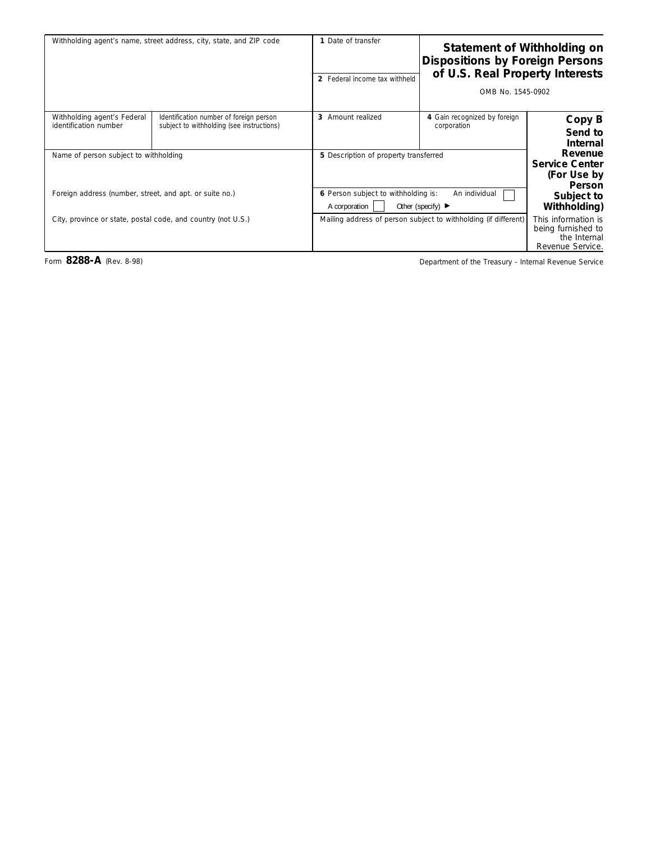|                                                                               | Statement of Withholding on<br><b>Dispositions by Foreign Persons</b><br>of U.S. Real Property Interests<br>OMB No. 1545-0902 | 1 Date of transfer<br>2 Federal income tax withheld | Withholding agent's name, street address, city, state, and ZIP code                  |                                                      |
|-------------------------------------------------------------------------------|-------------------------------------------------------------------------------------------------------------------------------|-----------------------------------------------------|--------------------------------------------------------------------------------------|------------------------------------------------------|
| Copy B<br>Send to<br><b>Internal</b>                                          | 4 Gain recognized by foreign<br>corporation                                                                                   | 3 Amount realized                                   | Identification number of foreign person<br>subject to withholding (see instructions) | Withholding agent's Federal<br>identification number |
| Revenue<br><b>Service Center</b><br>(For Use by<br><b>Person</b>              | 5 Description of property transferred                                                                                         |                                                     | Name of person subject to withholding                                                |                                                      |
| Subject to<br>Withholding)                                                    | 6 Person subject to withholding is:<br>An individual<br>A corporation<br>Other (specify) $\blacktriangleright$                |                                                     | Foreign address (number, street, and apt. or suite no.)                              |                                                      |
| This information is<br>being furnished to<br>the Internal<br>Revenue Service. | Mailing address of person subject to withholding (if different)                                                               |                                                     | City, province or state, postal code, and country (not U.S.)                         |                                                      |

Form 8288-A (Rev. 8-98) **Department of the Treasury - Internal Revenue Service**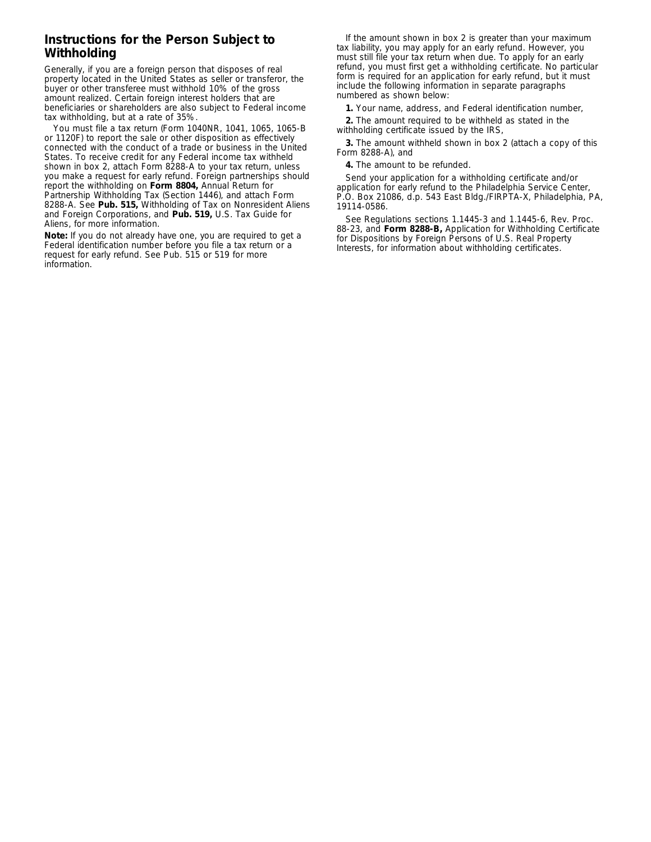## **Instructions for the Person Subject to Withholding**

Generally, if you are a foreign person that disposes of real property located in the United States as seller or transferor, the buyer or other transferee must withhold 10% of the gross amount realized. Certain foreign interest holders that are beneficiaries or shareholders are also subject to Federal income tax withholding, but at a rate of 35%.

You must file a tax return (Form 1040NR, 1041, 1065, 1065-B or 1120F) to report the sale or other disposition as effectively connected with the conduct of a trade or business in the United States. To receive credit for any Federal income tax withheld shown in box 2, attach Form 8288-A to your tax return, unless you make a request for early refund. Foreign partnerships should report the withholding on **Form 8804,** Annual Return for Partnership Withholding Tax (Section 1446), and attach Form 8288-A. See **Pub. 515,** Withholding of Tax on Nonresident Aliens and Foreign Corporations, and **Pub. 519,** U.S. Tax Guide for Aliens, for more information.

**Note:** *If you do not already have one, you are required to get a Federal identification number before you file a tax return or a request for early refund. See Pub. 515 or 519 for more information.*

If the amount shown in box 2 is greater than your maximum tax liability, you may apply for an early refund. However, you must still file your tax return when due. To apply for an early refund, you must first get a withholding certificate. No particular form is required for an application for early refund, but it must include the following information in separate paragraphs numbered as shown below:

**1.** Your name, address, and Federal identification number,

**2.** The amount required to be withheld as stated in the withholding certificate issued by the IRS,

**3.** The amount withheld shown in box 2 (attach a copy of this Form 8288-A), and

**4.** The amount to be refunded.

Send your application for a withholding certificate and/or application for early refund to the Philadelphia Service Center, P.O. Box 21086, d.p. 543 East Bldg./FIRPTA-X, Philadelphia, PA, 19114-0586.

See Regulations sections 1.1445-3 and 1.1445-6, Rev. Proc. 88-23, and **Form 8288-B,** Application for Withholding Certificate for Dispositions by Foreign Persons of U.S. Real Property Interests, for information about withholding certificates.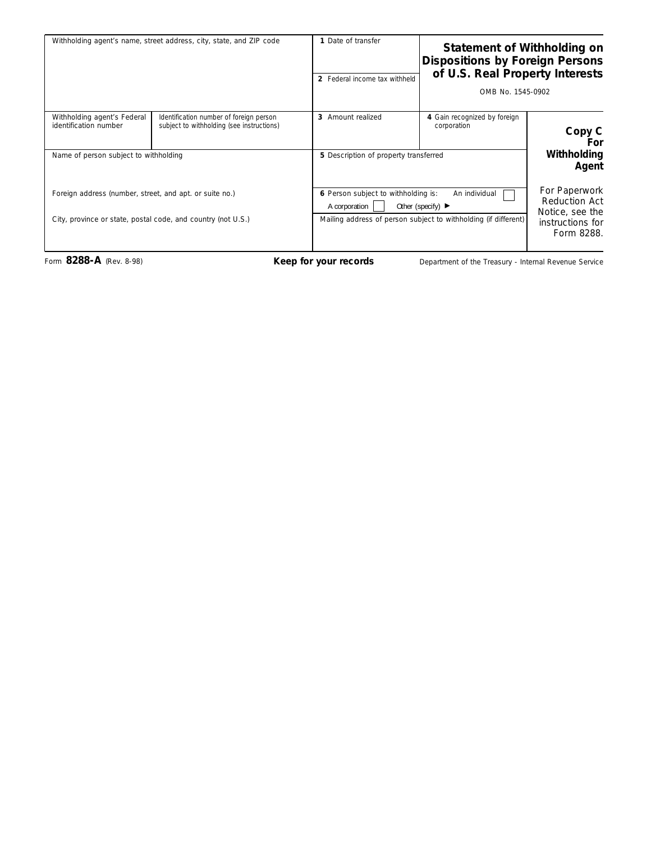| Withholding agent's name, street address, city, state, and ZIP code                                                     |                                                                                      | 1 Date of transfer<br>2 Federal income tax withheld                                                                                                                               | <b>Statement of Withholding on</b><br>Dispositions by Foreign Persons<br>of U.S. Real Property Interests<br>OMB No. 1545-0902 |                                                                                            |
|-------------------------------------------------------------------------------------------------------------------------|--------------------------------------------------------------------------------------|-----------------------------------------------------------------------------------------------------------------------------------------------------------------------------------|-------------------------------------------------------------------------------------------------------------------------------|--------------------------------------------------------------------------------------------|
| Withholding agent's Federal<br>identification number<br>Name of person subject to withholding                           | Identification number of foreign person<br>subject to withholding (see instructions) | 3 Amount realized<br>5 Description of property transferred                                                                                                                        | 4 Gain recognized by foreign<br>corporation                                                                                   | Copy C<br>For<br>Withholding<br>Agent                                                      |
| Foreign address (number, street, and apt. or suite no.)<br>City, province or state, postal code, and country (not U.S.) |                                                                                      | 6 Person subject to withholding is:<br>An individual<br>A corporation<br>Other (specify) $\blacktriangleright$<br>Mailing address of person subject to withholding (if different) |                                                                                                                               | For Paperwork<br><b>Reduction Act</b><br>Notice, see the<br>instructions for<br>Form 8288. |

Form 8288-A (Rev. 8-98) **Keep for your records** Department of the Treasury - Internal Revenue Service